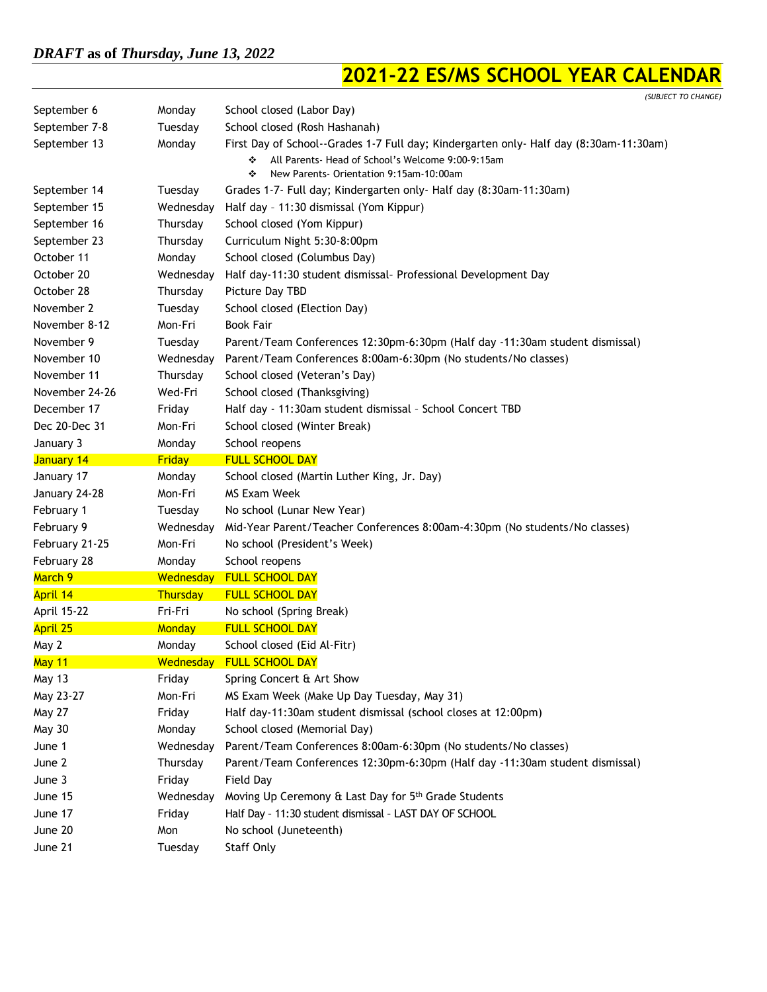## **2021-22 ES/MS SCHOOL YEAR CALENDAR**

|                   |               | (SUBJECT TO CHANGE)                                                                                                                                                                             |
|-------------------|---------------|-------------------------------------------------------------------------------------------------------------------------------------------------------------------------------------------------|
| September 6       | Monday        | School closed (Labor Day)                                                                                                                                                                       |
| September 7-8     | Tuesday       | School closed (Rosh Hashanah)                                                                                                                                                                   |
| September 13      | Monday        | First Day of School--Grades 1-7 Full day; Kindergarten only- Half day (8:30am-11:30am)<br>All Parents Head of School's Welcome 9:00-9:15am<br>❖<br>New Parents- Orientation 9:15am-10:00am<br>❖ |
| September 14      | Tuesday       | Grades 1-7- Full day; Kindergarten only- Half day (8:30am-11:30am)                                                                                                                              |
| September 15      | Wednesday     | Half day - 11:30 dismissal (Yom Kippur)                                                                                                                                                         |
| September 16      | Thursday      | School closed (Yom Kippur)                                                                                                                                                                      |
| September 23      | Thursday      | Curriculum Night 5:30-8:00pm                                                                                                                                                                    |
| October 11        | Monday        | School closed (Columbus Day)                                                                                                                                                                    |
| October 20        | Wednesday     | Half day-11:30 student dismissal- Professional Development Day                                                                                                                                  |
| October 28        | Thursday      | Picture Day TBD                                                                                                                                                                                 |
| November 2        | Tuesday       | School closed (Election Day)                                                                                                                                                                    |
| November 8-12     | Mon-Fri       | <b>Book Fair</b>                                                                                                                                                                                |
| November 9        | Tuesday       | Parent/Team Conferences 12:30pm-6:30pm (Half day -11:30am student dismissal)                                                                                                                    |
| November 10       | Wednesday     | Parent/Team Conferences 8:00am-6:30pm (No students/No classes)                                                                                                                                  |
| November 11       | Thursday      | School closed (Veteran's Day)                                                                                                                                                                   |
| November 24-26    | Wed-Fri       | School closed (Thanksgiving)                                                                                                                                                                    |
| December 17       | Friday        | Half day - 11:30am student dismissal - School Concert TBD                                                                                                                                       |
| Dec 20-Dec 31     | Mon-Fri       | School closed (Winter Break)                                                                                                                                                                    |
| January 3         | Monday        | School reopens                                                                                                                                                                                  |
| <b>January 14</b> | <b>Friday</b> | <b>FULL SCHOOL DAY</b>                                                                                                                                                                          |
| January 17        | Monday        | School closed (Martin Luther King, Jr. Day)                                                                                                                                                     |
| January 24-28     | Mon-Fri       | MS Exam Week                                                                                                                                                                                    |
| February 1        | Tuesday       | No school (Lunar New Year)                                                                                                                                                                      |
| February 9        | Wednesday     | Mid-Year Parent/Teacher Conferences 8:00am-4:30pm (No students/No classes)                                                                                                                      |
| February 21-25    | Mon-Fri       | No school (President's Week)                                                                                                                                                                    |
| February 28       | Monday        | School reopens                                                                                                                                                                                  |
| March 9           | Wednesday     | <b>FULL SCHOOL DAY</b>                                                                                                                                                                          |
| April 14          | Thursday      | <b>FULL SCHOOL DAY</b>                                                                                                                                                                          |
| April 15-22       | Fri-Fri       | No school (Spring Break)                                                                                                                                                                        |
| <b>April 25</b>   | Monday        | <b>FULL SCHOOL DAY</b>                                                                                                                                                                          |
| May 2             | Monday        | School closed (Eid Al-Fitr)                                                                                                                                                                     |
| May 11            | Wednesday     | <b>FULL SCHOOL DAY</b>                                                                                                                                                                          |
| May 13            | Friday        | Spring Concert & Art Show                                                                                                                                                                       |
| May 23-27         | Mon-Fri       | MS Exam Week (Make Up Day Tuesday, May 31)                                                                                                                                                      |
| May 27            | Friday        | Half day-11:30am student dismissal (school closes at 12:00pm)                                                                                                                                   |
| <b>May 30</b>     | Monday        | School closed (Memorial Day)                                                                                                                                                                    |
| June 1            | Wednesday     | Parent/Team Conferences 8:00am-6:30pm (No students/No classes)                                                                                                                                  |
| June 2            | Thursday      | Parent/Team Conferences 12:30pm-6:30pm (Half day -11:30am student dismissal)                                                                                                                    |
| June 3            | Friday        | Field Day                                                                                                                                                                                       |
| June 15           | Wednesday     | Moving Up Ceremony & Last Day for 5th Grade Students                                                                                                                                            |
| June 17           | Friday        | Half Day - 11:30 student dismissal - LAST DAY OF SCHOOL                                                                                                                                         |
| June 20           | Mon           | No school (Juneteenth)                                                                                                                                                                          |
| June 21           | Tuesday       | Staff Only                                                                                                                                                                                      |